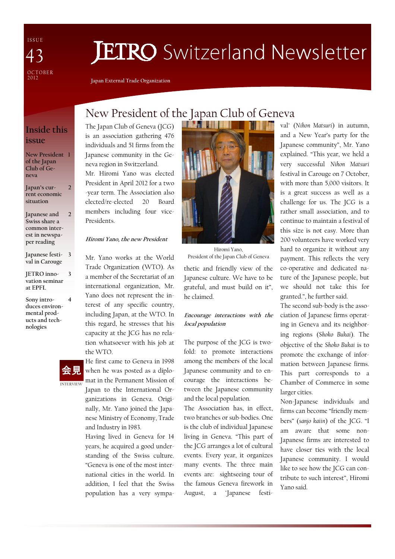I S S U E OCTOBER<br>2012 43

# **JETRO** Switzerland Newsletter

Japan External Trade Organization

## Inside this issue

New President 1 of the Japan Club of Geneva

Japan's current economic situation  $\overline{\phantom{a}}$ 

Japanese and Swiss share a common interest in newspaper reading  $\overline{2}$ 

Japanese festi-3 val in Carouge

JETRO innovation seminar at EPFL

Sony introduces environmental products and technologies



3

4

## New President of the Japan Club of Geneva **Majir Andrew Miller**

The Japan Club of Geneva (JCG) is an association gathering 476 individuals and 51 firms from the Japanese community in the Geneva region in Switzerland.

Mr. Hiromi Yano was elected President in April 2012 for a two -year term. The Association also elected/re-elected 20 Board members including four vice-Presidents.

#### Hiromi Yano, the new President

Mr. Yano works at the World Trade Organization (WTO). As a member of the Secretariat of an international organization, Mr. Yano does not represent the interest of any specific country, including Japan, at the WTO. In this regard, he stresses that his capacity at the JCG has no relation whatsoever with his job at the WTO.

He first came to Geneva in 1998

ganizations in Geneva. Originally, Mr. Yano joined the Japanese Ministry of Economy, Trade

Having lived in Geneva for 14 years, he acquired a good understanding of the Swiss culture. "Geneva is one of the most international cities in the world. In addition, I feel that the Swiss population has a very sympa-

and Industry in 1983.



thetic and friendly view of the Japanese culture. We have to be grateful, and must build on it", he claimed. Hiromi Yano, President of the Japan Club of Geneva

#### Encourage interactions with the local population

The purpose of the JCG is twofold: to promote interactions among the members of the local Japanese community and to encourage the interactions between the Japanese community and the local population.

The Association has, in effect, two branches or sub-bodies. One is the club of individual Japanese living in Geneva. "This part of the JCG arranges a lot of cultural events. Every year, it organizes many events. The three main events are: sightseeing tour of the famous Geneva firework in August, a "Japanese festi-

val" (Nihon Matsuri) in autumn, and a New Year's party for the Japanese community", Mr. Yano explained. "This year, we held a very successful Nihon Matsuri festival in Carouge on 7 October, with more than 5,000 visitors. It is a great success as well as a challenge for us. The JCG is a rather small association, and to continue to maintain a festival of this size is not easy. More than 200 volunteers have worked very hard to organize it without any payment. This reflects the very co-operative and dedicated nature of the Japanese people, but we should not take this for granted.", he further said.

The second sub-body is the association of Japanese firms operating in Geneva and its neighboring regions (Shoko Bukai). The objective of the Shoko Bukai is to promote the exchange of information between Japanese firms. This part corresponds to a Chamber of Commerce in some larger cities.

Non-Japanese individuals and firms can become "friendly members" (sanjo kaiin) of the JCG. "I am aware that some non-Japanese firms are interested to have closer ties with the local Japanese community. I would like to see how the JCG can contribute to such interest", Hiromi Yano said.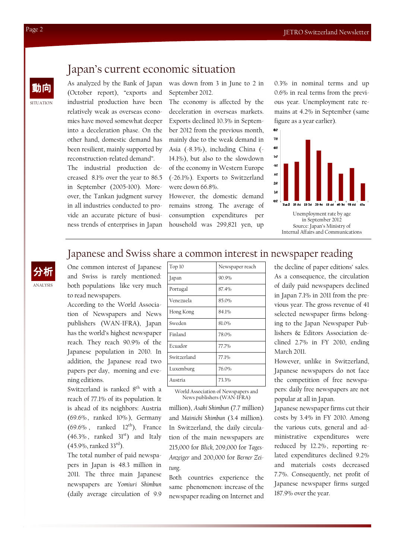# Japan's current economic situation

As analyzed by the Bank of Japan (October report), "exports and industrial production have been relatively weak as overseas economies have moved somewhat deeper into a deceleration phase. On the other hand, domestic demand has been resilient, mainly supported by reconstruction-related demand". The industrial production decreased 8.1% over the year to 86.5 in September (2005=100). Moreover, the Tankan judgment survey in all industries conducted to provide an accurate picture of business trends of enterprises in Japan was down from 3 in June to 2 in September 2012.

The economy is affected by the deceleration in overseas markets. Exports declined 10.3% in September 2012 from the previous month, mainly due to the weak demand in Asia (-8.3%), including China (- 14.1%), but also to the slowdown of the economy in Western Europe (-26.1%). Exports to Switzerland were down 66.8%.

However, the domestic demand remains strong. The average of consumption expenditures per household was 299,821 yen, up

0.3% in nominal terms and up 0.6% in real terms from the previous year. Unemployment rate remains at 4.2% in September (same figure as a year earlier).



## Japanese and Swiss share a common interest in newspaper reading

ANALYSIS 分析 One common interest of Japanese and Swiss is rarely mentioned: both populations like very much to read newspapers.

According to the World Association of Newspapers and News publishers (WAN-IFRA), Japan has the world's highest newspaper reach. They reach 90.9% of the Japanese population in 2010. In addition, the Japanese read two papers per day, morning and evening editions.

Switzerland is ranked  $8<sup>th</sup>$  with a reach of 77.1% of its population. It is ahead of its neighbors: Austria (69.6% , ranked 10% ), Germany  $(69.6\%$ , ranked  $12<sup>th</sup>$ ), France  $(46.3\%$ , ranked  $31<sup>st</sup>$  and Italy  $(45.9\%,$  ranked 33<sup>rd</sup>).

The total number of paid newspapers in Japan is 48.3 million in 2011. The three main Japanese newspapers are Yomiuri Shimbun (daily average circulation of 9.9

| Top 10      | Newspaper reach |
|-------------|-----------------|
| Japan       | 90.9%           |
| Portugal    | 87.4%           |
| Venezuela   | 85.0%           |
| Hong Kong   | 84.1%           |
| Sweden      | 81.0%           |
| Finland     | 78.0%           |
| Ecuador     | 77.7%           |
| Switzerland | 77.1%           |
| Luxemburg   | 76.0%           |
| Austria     | 73.3%           |

World Association of Newspapers and News publishers (WAN-IFRA)

million), Asahi Shimbun (7.7 million) and Mainichi Shimbun (3.4 million). In Switzerland, the daily circulation of the main newspapers are 215,000 for Blick, 209,000 for Tages-Anzeiger and 200,000 for Berner Zeitung.

Both countries experience the same phenomenon: increase of the newspaper reading on Internet and

the decline of paper editions' sales. As a consequence, the circulation of daily paid newspapers declined in Japan 7.1% in 2011 from the previous year. The gross revenue of 41 selected newspaper firms belonging to the Japan Newspaper Publishers & Editors Association declined 2.7% in FY 2010, ending March 2011.

However, unlike in Switzerland, Japanese newspapers do not face the competition of free newspapers: daily free newspapers are not popular at all in Japan.

Japanese newspaper firms cut their costs by 3.4% in FY 2010. Among the various cuts, general and administrative expenditures were reduced by 12.2%, reporting related expenditures declined 9.2% and materials costs decreased 7.7%. Consequently, net profit of Japanese newspaper firms surged 187.9% over the year.

**SITUATION** 

動向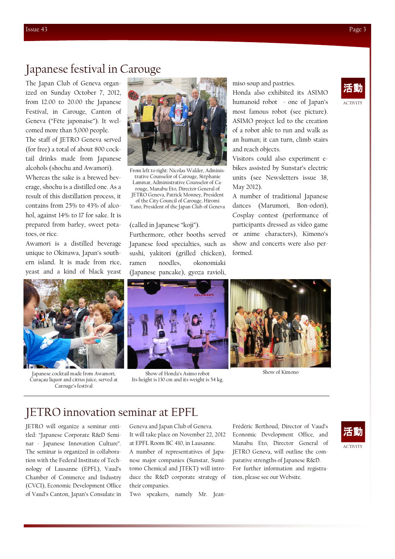# Japanese festival in Carouge

The Japan Club of Geneva organized on Sunday October 7, 2012, from 12.00 to 20.00 the Japanese Festival, in Carouge, Canton of Geneva ("Fête japonaise"). It welcomed more than 5,000 people. The staff of JETRO Geneva served (for free) a total of about 800 cocktail drinks made from Japanese alcohols (shochu and Awamori). Whereas the sake is a brewed beverage, shochu is a distilled one. As a result of this distillation process, it contains from 25% to 43% of alcohol, against 14% to 17 for sake. It is prepared from barley, sweet pota-

Awamori is a distilled beverage unique to Okinawa, Japan's southern island. It is made from rice, yeast and a kind of black yeast

toes, or rice.



Japanese cocktail made from Awamori, Curaçau liquor and citrus juice, served at Carouge's festival



From left to right: Nicolas Walder, Administrative Counselor of Carouge, Stéphanie Lammar, Administrative Counselor of Carouge, Manabu Eto, Director General of

JETRO Geneva, Patrick Monney, President of the City Council of Carouge, Hiromi Yano, President of the Japan Club of Geneva

#### (called in Japanese "koji").

Furthermore, other booths served Japanese food specialties, such as sushi, yakitori (grilled chicken), ramen noodles, okonomiaki (Japanese pancake), gyoza ravioli,



Show of Honda's Asimo robot Its height is 130 cm and its weight is 54 kg.

miso soup and pastries.

Honda also exhibited its ASIMO humanoid robot - one of Japan's most famous robot (see picture). ASIMO project led to the creation of a robot able to run and walk as an human; it can turn, climb stairs and reach objects.

Visitors could also experiment ebikes assisted by Sunstar's electric units (see Newsletters issue 38, May 2012).

A number of traditional Japanese dances (Marumori, Bon-odori), Cosplay contest (performance of participants dressed as video game or anime characters), Kimono's show and concerts were also performed.



Show of Kimono

# JETRO innovation seminar at EPFL

JETRO will organize a seminar entitled: "Japanese Corporate R&D Seminar - Japanese Innovation Culture". The seminar is organized in collaboration with the Federal Institute of Technology of Lausanne (EPFL), Vaud's Chamber of Commerce and Industry (CVCI), Economic Development Office of Vaud's Canton, Japan's Consulate in

Geneva and Japan Club of Geneva. It will take place on November 22, 2012 at EPFL Room BC 410, in Lausanne. A number of representatives of Japanese major companies (Sunstar, Sumitomo Chemical and JTEKT) will introduce the R&D corporate strategy of their companies.

Two speakers, namely Mr. Jean-

Frédéric Berthoud, Director of Vaud's Economic Development Office, and Manabu Eto, Director General of JETRO Geneva, will outline the comparative strengths of Japanese R&D. For further information and registration, please see our Website.



## **ACTIVITY** 活動